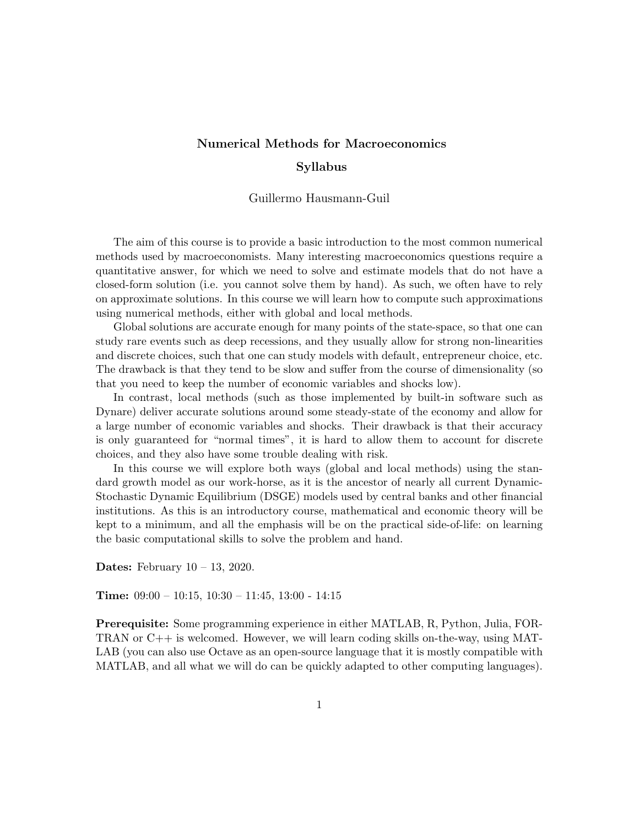# Numerical Methods for Macroeconomics Syllabus

Guillermo Hausmann-Guil

The aim of this course is to provide a basic introduction to the most common numerical methods used by macroeconomists. Many interesting macroeconomics questions require a quantitative answer, for which we need to solve and estimate models that do not have a closed-form solution (i.e. you cannot solve them by hand). As such, we often have to rely on approximate solutions. In this course we will learn how to compute such approximations using numerical methods, either with global and local methods.

Global solutions are accurate enough for many points of the state-space, so that one can study rare events such as deep recessions, and they usually allow for strong non-linearities and discrete choices, such that one can study models with default, entrepreneur choice, etc. The drawback is that they tend to be slow and suffer from the course of dimensionality (so that you need to keep the number of economic variables and shocks low).

In contrast, local methods (such as those implemented by built-in software such as Dynare) deliver accurate solutions around some steady-state of the economy and allow for a large number of economic variables and shocks. Their drawback is that their accuracy is only guaranteed for "normal times", it is hard to allow them to account for discrete choices, and they also have some trouble dealing with risk.

In this course we will explore both ways (global and local methods) using the standard growth model as our work-horse, as it is the ancestor of nearly all current Dynamic-Stochastic Dynamic Equilibrium (DSGE) models used by central banks and other financial institutions. As this is an introductory course, mathematical and economic theory will be kept to a minimum, and all the emphasis will be on the practical side-of-life: on learning the basic computational skills to solve the problem and hand.

**Dates:** February  $10 - 13$ , 2020.

**Time:**  $09:00 - 10:15$ ,  $10:30 - 11:45$ ,  $13:00 - 14:15$ 

Prerequisite: Some programming experience in either MATLAB, R, Python, Julia, FOR-TRAN or C++ is welcomed. However, we will learn coding skills on-the-way, using MAT-LAB (you can also use Octave as an open-source language that it is mostly compatible with MATLAB, and all what we will do can be quickly adapted to other computing languages).